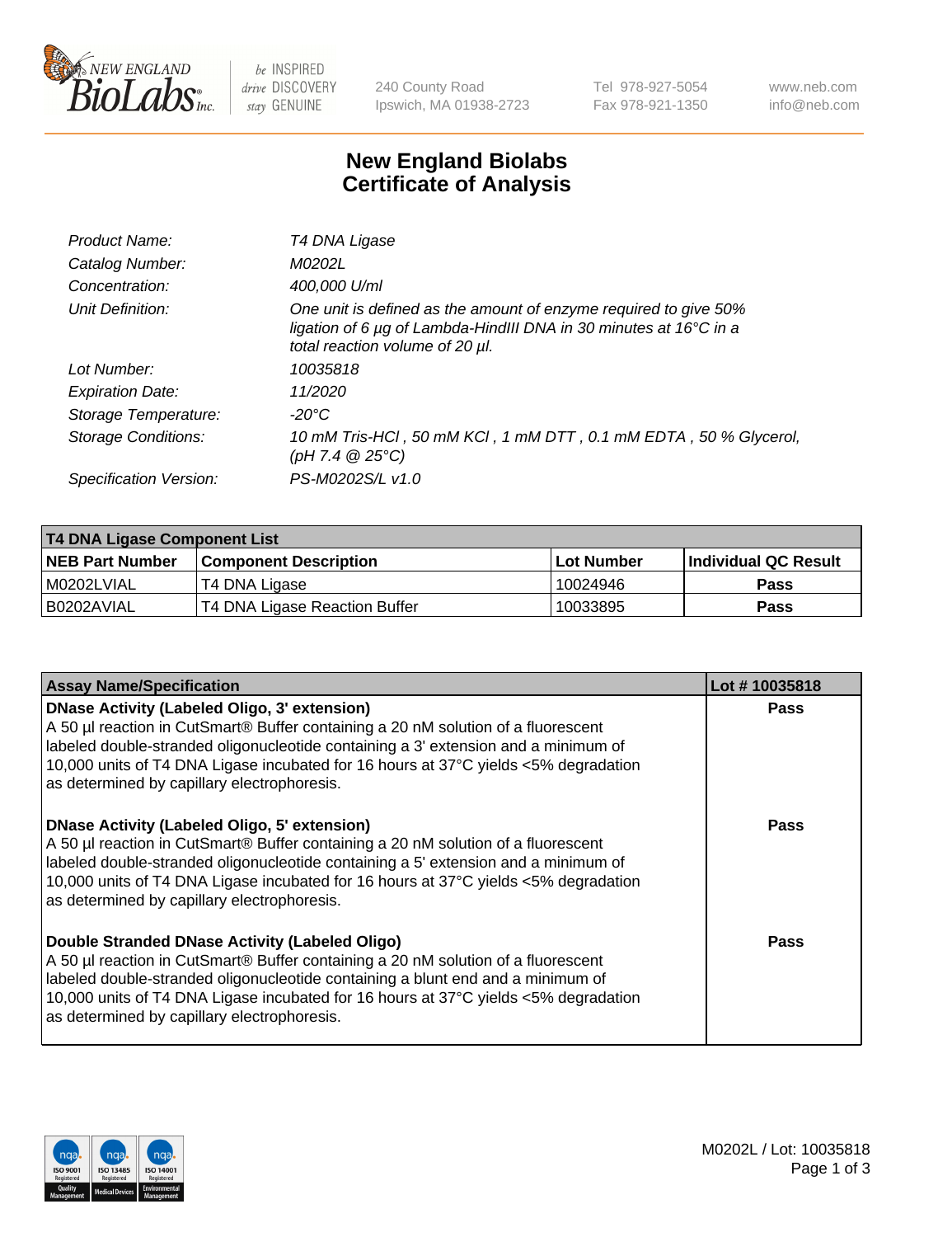

be INSPIRED drive DISCOVERY stay GENUINE

240 County Road Ipswich, MA 01938-2723 Tel 978-927-5054 Fax 978-921-1350 www.neb.com info@neb.com

## **New England Biolabs Certificate of Analysis**

| Product Name:              | T4 DNA Ligase                                                                                                                                                                           |
|----------------------------|-----------------------------------------------------------------------------------------------------------------------------------------------------------------------------------------|
| Catalog Number:            | M0202L                                                                                                                                                                                  |
| Concentration:             | 400,000 U/ml                                                                                                                                                                            |
| Unit Definition:           | One unit is defined as the amount of enzyme required to give 50%<br>ligation of 6 $\mu$ g of Lambda-HindIII DNA in 30 minutes at 16 $\degree$ C in a<br>total reaction volume of 20 µl. |
| Lot Number:                | 10035818                                                                                                                                                                                |
| <b>Expiration Date:</b>    | 11/2020                                                                                                                                                                                 |
| Storage Temperature:       | -20°C                                                                                                                                                                                   |
| <b>Storage Conditions:</b> | 10 mM Tris-HCl, 50 mM KCl, 1 mM DTT, 0.1 mM EDTA, 50 % Glycerol,<br>(pH 7.4 $@25°C$ )                                                                                                   |
| Specification Version:     | PS-M0202S/L v1.0                                                                                                                                                                        |

| T4 DNA Ligase Component List |                               |                   |                      |  |
|------------------------------|-------------------------------|-------------------|----------------------|--|
| <b>NEB Part Number</b>       | <b>Component Description</b>  | <b>Lot Number</b> | Individual QC Result |  |
| I M0202LVIAL                 | T4 DNA Ligase                 | 10024946          | <b>Pass</b>          |  |
| I B0202AVIAL                 | T4 DNA Ligase Reaction Buffer | 10033895          | <b>Pass</b>          |  |

| <b>Assay Name/Specification</b>                                                                                                                                                                                                                                                                                                                                      | Lot #10035818 |
|----------------------------------------------------------------------------------------------------------------------------------------------------------------------------------------------------------------------------------------------------------------------------------------------------------------------------------------------------------------------|---------------|
| <b>DNase Activity (Labeled Oligo, 3' extension)</b><br>A 50 µl reaction in CutSmart® Buffer containing a 20 nM solution of a fluorescent<br>labeled double-stranded oligonucleotide containing a 3' extension and a minimum of<br>10,000 units of T4 DNA Ligase incubated for 16 hours at 37°C yields <5% degradation<br>as determined by capillary electrophoresis. | <b>Pass</b>   |
| <b>DNase Activity (Labeled Oligo, 5' extension)</b><br>A 50 µl reaction in CutSmart® Buffer containing a 20 nM solution of a fluorescent<br>labeled double-stranded oligonucleotide containing a 5' extension and a minimum of<br>10,000 units of T4 DNA Ligase incubated for 16 hours at 37°C yields <5% degradation<br>as determined by capillary electrophoresis. | Pass          |
| Double Stranded DNase Activity (Labeled Oligo)<br>A 50 µl reaction in CutSmart® Buffer containing a 20 nM solution of a fluorescent<br>labeled double-stranded oligonucleotide containing a blunt end and a minimum of<br>10,000 units of T4 DNA Ligase incubated for 16 hours at 37°C yields <5% degradation<br>as determined by capillary electrophoresis.         | Pass          |

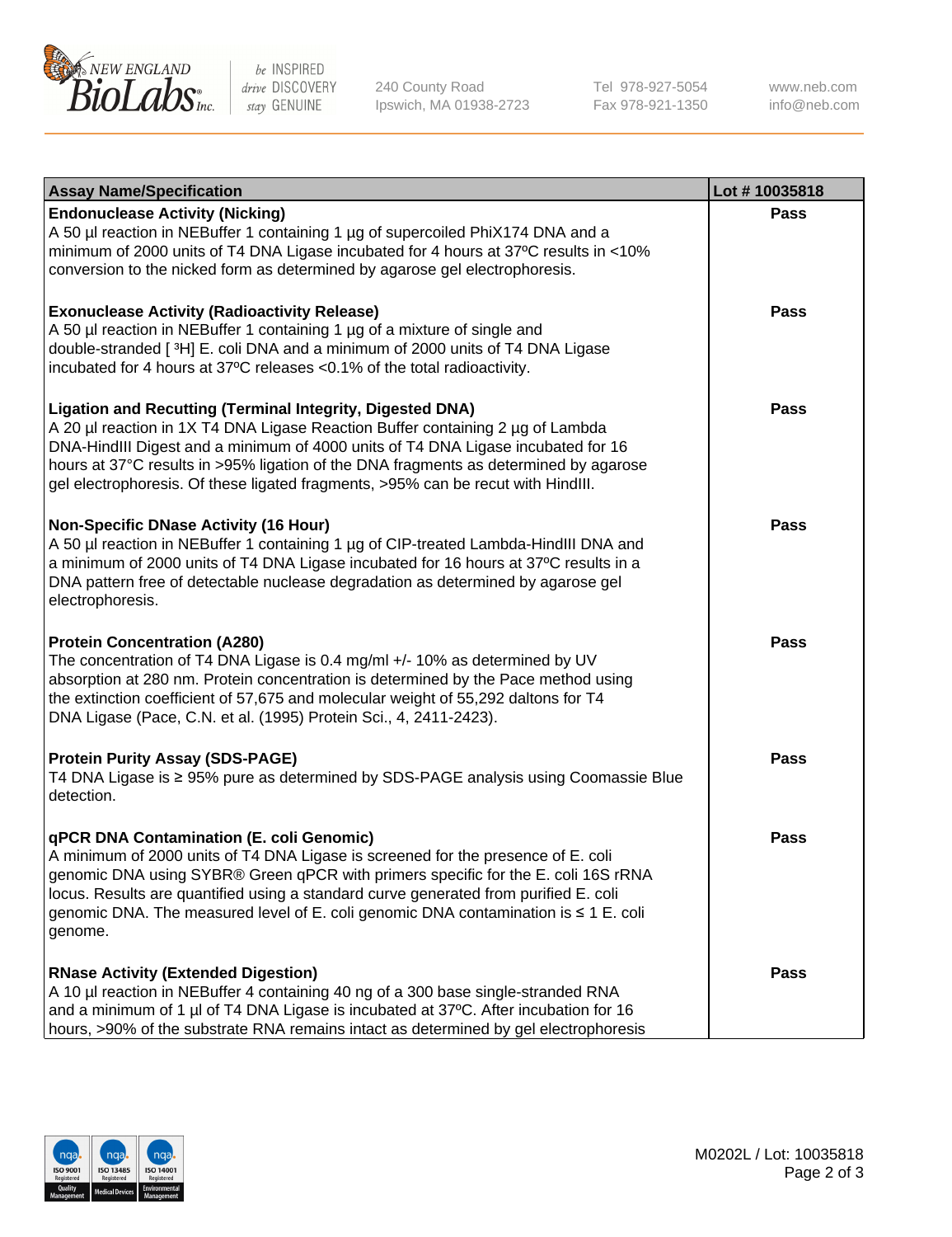

be INSPIRED drive DISCOVERY stay GENUINE

240 County Road Ipswich, MA 01938-2723 Tel 978-927-5054 Fax 978-921-1350

www.neb.com info@neb.com

| <b>Assay Name/Specification</b>                                                                                                                                                                                                                                                                                                                                                                                    | Lot #10035818 |
|--------------------------------------------------------------------------------------------------------------------------------------------------------------------------------------------------------------------------------------------------------------------------------------------------------------------------------------------------------------------------------------------------------------------|---------------|
| <b>Endonuclease Activity (Nicking)</b><br>A 50 µl reaction in NEBuffer 1 containing 1 µg of supercoiled PhiX174 DNA and a<br>minimum of 2000 units of T4 DNA Ligase incubated for 4 hours at 37°C results in <10%<br>conversion to the nicked form as determined by agarose gel electrophoresis.                                                                                                                   | <b>Pass</b>   |
| <b>Exonuclease Activity (Radioactivity Release)</b><br>A 50 µl reaction in NEBuffer 1 containing 1 µg of a mixture of single and<br>double-stranded [3H] E. coli DNA and a minimum of 2000 units of T4 DNA Ligase<br>incubated for 4 hours at 37°C releases <0.1% of the total radioactivity.                                                                                                                      | <b>Pass</b>   |
| <b>Ligation and Recutting (Terminal Integrity, Digested DNA)</b><br>A 20 µl reaction in 1X T4 DNA Ligase Reaction Buffer containing 2 µg of Lambda<br>DNA-HindIII Digest and a minimum of 4000 units of T4 DNA Ligase incubated for 16<br>hours at 37°C results in >95% ligation of the DNA fragments as determined by agarose<br>gel electrophoresis. Of these ligated fragments, >95% can be recut with HindIII. | <b>Pass</b>   |
| <b>Non-Specific DNase Activity (16 Hour)</b><br>A 50 µl reaction in NEBuffer 1 containing 1 µg of CIP-treated Lambda-HindIII DNA and<br>a minimum of 2000 units of T4 DNA Ligase incubated for 16 hours at 37°C results in a<br>DNA pattern free of detectable nuclease degradation as determined by agarose gel<br>electrophoresis.                                                                               | <b>Pass</b>   |
| <b>Protein Concentration (A280)</b><br>The concentration of T4 DNA Ligase is 0.4 mg/ml +/- 10% as determined by UV<br>absorption at 280 nm. Protein concentration is determined by the Pace method using<br>the extinction coefficient of 57,675 and molecular weight of 55,292 daltons for T4<br>DNA Ligase (Pace, C.N. et al. (1995) Protein Sci., 4, 2411-2423).                                                | <b>Pass</b>   |
| <b>Protein Purity Assay (SDS-PAGE)</b><br>T4 DNA Ligase is ≥ 95% pure as determined by SDS-PAGE analysis using Coomassie Blue<br>detection.                                                                                                                                                                                                                                                                        | Pass          |
| qPCR DNA Contamination (E. coli Genomic)<br>A minimum of 2000 units of T4 DNA Ligase is screened for the presence of E. coli<br>genomic DNA using SYBR® Green qPCR with primers specific for the E. coli 16S rRNA<br>locus. Results are quantified using a standard curve generated from purified E. coli<br>genomic DNA. The measured level of E. coli genomic DNA contamination is ≤ 1 E. coli<br>genome.        | Pass          |
| <b>RNase Activity (Extended Digestion)</b><br>A 10 µl reaction in NEBuffer 4 containing 40 ng of a 300 base single-stranded RNA<br>and a minimum of 1 µl of T4 DNA Ligase is incubated at 37°C. After incubation for 16<br>hours, >90% of the substrate RNA remains intact as determined by gel electrophoresis                                                                                                    | Pass          |